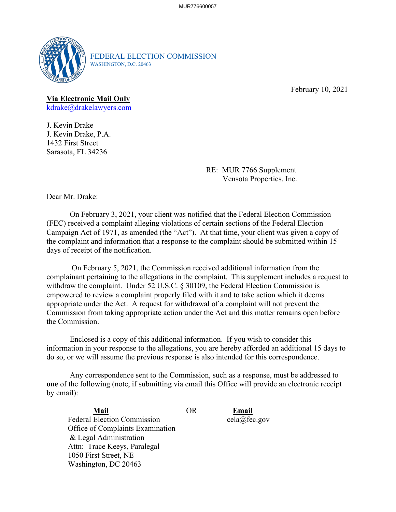

FEDERAL ELECTION COMMISSION WASHINGTON, D.C. 20463

February 10, 2021

## **Via Electronic Mail Only**

<u>[kdrake@drakelawyers.com](mailto:kdrake@drakelawyers.com)</u><br>J. Kevin Drake

J. Kevin Drake, P.A. 1432 First Street Sarasota, FL 34236

> RE: MUR 7766 Supplement Vensota Properties, Inc.

Dear Mr. Drake:

 Campaign Act of 1971, as amended (the "Act"). At that time, your client was given a copy of the complaint and information that a response to the complaint should be submitted within 15 On February 3, 2021, your client was notified that the Federal Election Commission (FEC) received a complaint alleging violations of certain sections of the Federal Election days of receipt of the notification.

 On February 5, 2021, the Commission received additional information from the empowered to review a complaint properly filed with it and to take action which it deems complainant pertaining to the allegations in the complaint. This supplement includes a request to withdraw the complaint. Under 52 U.S.C. § 30109, the Federal Election Commission is appropriate under the Act. A request for withdrawal of a complaint will not prevent the Commission from taking appropriate action under the Act and this matter remains open before the Commission.

 Enclosed is a copy of this additional information. If you wish to consider this information in your response to the allegations, you are hereby afforded an additional 15 days to do so, or we will assume the previous response is also intended for this correspondence.

 Any correspondence sent to the Commission, such as a response, must be addressed to **one** of the following (note, if submitting via email this Office will provide an electronic receipt by email):

Mail **Mail** OR **Email**  Federal Election Commission Office of Complaints Examination & Legal Administration Attn: Trace Keeys, Paralegal 1050 First Street, NE Washington, DC 20463

Email cela@fec.gov